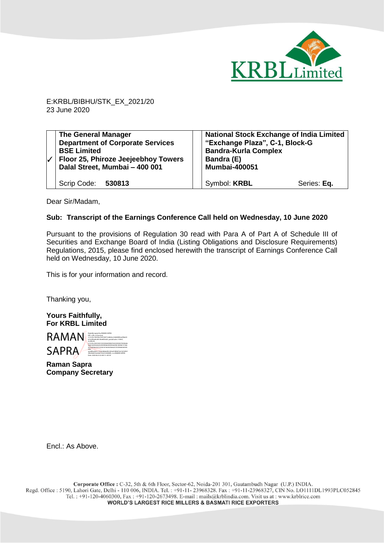

E:KRBL/BIBHU/STK\_EX\_2021/20 23 June 2020

| <b>The General Manager</b><br><b>Department of Corporate Services</b><br><b>BSE Limited</b><br>Floor 25, Phiroze Jeejeebhoy Towers<br>Dalal Street, Mumbai - 400 001 | <b>National Stock Exchange of India Limited</b><br>"Exchange Plaza", C-1, Block-G<br><b>Bandra-Kurla Complex</b><br>Bandra (E)<br><b>Mumbai-400051</b> |             |
|----------------------------------------------------------------------------------------------------------------------------------------------------------------------|--------------------------------------------------------------------------------------------------------------------------------------------------------|-------------|
| Scrip Code: 530813                                                                                                                                                   | Symbol: <b>KRBL</b>                                                                                                                                    | Series: Eq. |

Dear Sir/Madam,

## **Sub: Transcript of the Earnings Conference Call held on Wednesday, 10 June 2020**

Pursuant to the provisions of Regulation 30 read with Para A of Part A of Schedule III of Securities and Exchange Board of India (Listing Obligations and Disclosure Requirements) Regulations, 2015, please find enclosed herewith the transcript of Earnings Conference Call held on Wednesday, 10 June 2020.

This is for your information and record.

Thanking you,

**Yours Faithfully, For KRBL Limited**

RAMAN SAPRA DIGITALLY SAPRA CONTROLLER SAPRA 2.5.4.20=18cf30a1544184712dd62ca166b9893ae39be03 b72c0f4a44c907cf6e8f25d25, postalCode=110007, st=DELHI, 2.5.4.45=034100313535306439383765333934373030646 2666164356362323039306630303566396138346131366 4373439663331323261616636356662373339646364343 930, serialNumber=15cbe9dded45c032a01894d72a7cb7af431 3fb2366016cd2de145cfc530838fc, cn=RAMAN SAPRA Date: 2020.06.23 23:49:13 +05'30'

**Raman Sapra Company Secretary**

Encl.: As Above.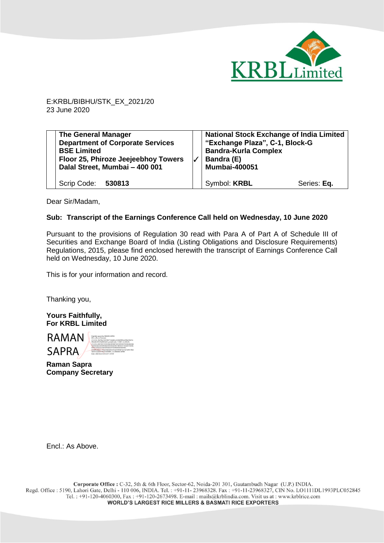

E:KRBL/BIBHU/STK\_EX\_2021/20 23 June 2020

| <b>The General Manager</b><br><b>Department of Corporate Services</b><br><b>BSE Limited</b><br>Floor 25, Phiroze Jeejeebhoy Towers<br>Dalal Street, Mumbai - 400 001 | <b>National Stock Exchange of India Limited</b><br>"Exchange Plaza", C-1, Block-G<br><b>Bandra-Kurla Complex</b><br>Bandra (E)<br><b>Mumbai-400051</b> |             |
|----------------------------------------------------------------------------------------------------------------------------------------------------------------------|--------------------------------------------------------------------------------------------------------------------------------------------------------|-------------|
| Scrip Code: 530813                                                                                                                                                   | Symbol: <b>KRBL</b>                                                                                                                                    | Series: Eq. |

Dear Sir/Madam,

## **Sub: Transcript of the Earnings Conference Call held on Wednesday, 10 June 2020**

Pursuant to the provisions of Regulation 30 read with Para A of Part A of Schedule III of Securities and Exchange Board of India (Listing Obligations and Disclosure Requirements) Regulations, 2015, please find enclosed herewith the transcript of Earnings Conference Call held on Wednesday, 10 June 2020.

This is for your information and record.

Thanking you,

**Yours Faithfully, For KRBL Limited**

RAMAN **SAPRA** Digitally signed by RAMAN SAPRA DN: c=IN, o=Personal, 2.5.4.20=18cf30a1544184712dd62ca166b9893ae39be03b72c 0f4a44c907cf6e8f25d25, postalCode=110007, st=DELHI, 2.5.4.45=0341003135353064393837653339343730306462666 16435636232303930663030356639613834613136643734396 63331323261616636356662373339646364343930, serialNumber=15cbe9dded45c032a01894d72a7cb7af4313fb2 366016cd2de145cfc530838fc, cn=RAMAN SAPRA Date: 2020.06.23 23:52:57 +05'30'

**Raman Sapra Company Secretary**

Encl.: As Above.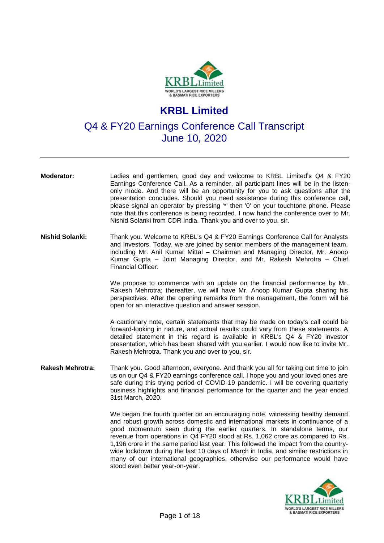

## **KRBL Limited**

Q4 & FY20 Earnings Conference Call Transcript June 10, 2020

**Moderator:** Ladies and gentlemen, good day and welcome to KRBL Limited's Q4 & FY20 Earnings Conference Call. As a reminder, all participant lines will be in the listenonly mode. And there will be an opportunity for you to ask questions after the presentation concludes. Should you need assistance during this conference call, please signal an operator by pressing '\*' then '0' on your touchtone phone. Please note that this conference is being recorded. I now hand the conference over to Mr. Nishid Solanki from CDR India. Thank you and over to you, sir.

**Nishid Solanki:** Thank you. Welcome to KRBL's Q4 & FY20 Earnings Conference Call for Analysts and Investors. Today, we are joined by senior members of the management team, including Mr. Anil Kumar Mittal – Chairman and Managing Director, Mr. Anoop Kumar Gupta – Joint Managing Director, and Mr. Rakesh Mehrotra – Chief Financial Officer.

> We propose to commence with an update on the financial performance by Mr. Rakesh Mehrotra; thereafter, we will have Mr. Anoop Kumar Gupta sharing his perspectives. After the opening remarks from the management, the forum will be open for an interactive question and answer session.

> A cautionary note, certain statements that may be made on today's call could be forward-looking in nature, and actual results could vary from these statements. A detailed statement in this regard is available in KRBL's Q4 & FY20 investor presentation, which has been shared with you earlier. I would now like to invite Mr. Rakesh Mehrotra. Thank you and over to you, sir.

**Rakesh Mehrotra:** Thank you. Good afternoon, everyone. And thank you all for taking out time to join us on our Q4 & FY20 earnings conference call. I hope you and your loved ones are safe during this trying period of COVID-19 pandemic. I will be covering quarterly business highlights and financial performance for the quarter and the year ended 31st March, 2020.

> We began the fourth quarter on an encouraging note, witnessing healthy demand and robust growth across domestic and international markets in continuance of a good momentum seen during the earlier quarters. In standalone terms, our revenue from operations in Q4 FY20 stood at Rs. 1,062 crore as compared to Rs. 1,196 crore in the same period last year. This followed the impact from the countrywide lockdown during the last 10 days of March in India, and similar restrictions in many of our international geographies, otherwise our performance would have stood even better year-on-year.

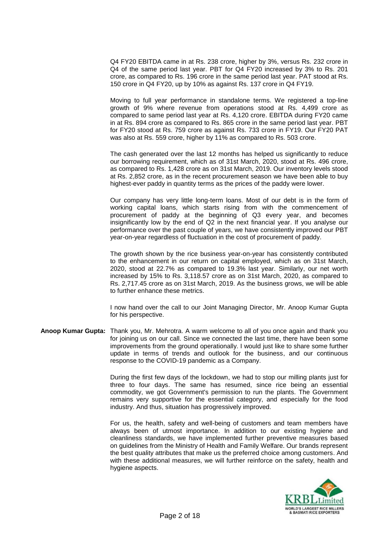Q4 FY20 EBITDA came in at Rs. 238 crore, higher by 3%, versus Rs. 232 crore in Q4 of the same period last year. PBT for Q4 FY20 increased by 3% to Rs. 201 crore, as compared to Rs. 196 crore in the same period last year. PAT stood at Rs. 150 crore in Q4 FY20, up by 10% as against Rs. 137 crore in Q4 FY19.

Moving to full year performance in standalone terms. We registered a top-line growth of 9% where revenue from operations stood at Rs. 4,499 crore as compared to same period last year at Rs. 4,120 crore. EBITDA during FY20 came in at Rs. 894 crore as compared to Rs. 865 crore in the same period last year. PBT for FY20 stood at Rs. 759 crore as against Rs. 733 crore in FY19. Our FY20 PAT was also at Rs. 559 crore, higher by 11% as compared to Rs. 503 crore.

The cash generated over the last 12 months has helped us significantly to reduce our borrowing requirement, which as of 31st March, 2020, stood at Rs. 496 crore, as compared to Rs. 1,428 crore as on 31st March, 2019. Our inventory levels stood at Rs. 2,852 crore, as in the recent procurement season we have been able to buy highest-ever paddy in quantity terms as the prices of the paddy were lower.

Our company has very little long-term loans. Most of our debt is in the form of working capital loans, which starts rising from with the commencement of procurement of paddy at the beginning of Q3 every year, and becomes insignificantly low by the end of Q2 in the next financial year. If you analyse our performance over the past couple of years, we have consistently improved our PBT year-on-year regardless of fluctuation in the cost of procurement of paddy.

The growth shown by the rice business year-on-year has consistently contributed to the enhancement in our return on capital employed, which as on 31st March, 2020, stood at 22.7% as compared to 19.3% last year. Similarly, our net worth increased by 15% to Rs. 3,118.57 crore as on 31st March, 2020, as compared to Rs. 2,717.45 crore as on 31st March, 2019. As the business grows, we will be able to further enhance these metrics.

I now hand over the call to our Joint Managing Director, Mr. Anoop Kumar Gupta for his perspective.

**Anoop Kumar Gupta:** Thank you, Mr. Mehrotra. A warm welcome to all of you once again and thank you for joining us on our call. Since we connected the last time, there have been some improvements from the ground operationally. I would just like to share some further update in terms of trends and outlook for the business, and our continuous response to the COVID-19 pandemic as a Company.

> During the first few days of the lockdown, we had to stop our milling plants just for three to four days. The same has resumed, since rice being an essential commodity, we got Government's permission to run the plants. The Government remains very supportive for the essential category, and especially for the food industry. And thus, situation has progressively improved.

> For us, the health, safety and well-being of customers and team members have always been of utmost importance. In addition to our existing hygiene and cleanliness standards, we have implemented further preventive measures based on guidelines from the Ministry of Health and Family Welfare. Our brands represent the best quality attributes that make us the preferred choice among customers. And with these additional measures, we will further reinforce on the safety, health and hygiene aspects.

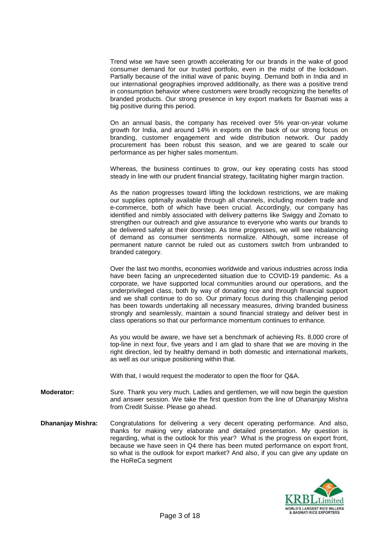Trend wise we have seen growth accelerating for our brands in the wake of good consumer demand for our trusted portfolio, even in the midst of the lockdown. Partially because of the initial wave of panic buying. Demand both in India and in our international geographies improved additionally, as there was a positive trend in consumption behavior where customers were broadly recognizing the benefits of branded products. Our strong presence in key export markets for Basmati was a big positive during this period.

On an annual basis, the company has received over 5% year-on-year volume growth for India, and around 14% in exports on the back of our strong focus on branding, customer engagement and wide distribution network. Our paddy procurement has been robust this season, and we are geared to scale our performance as per higher sales momentum.

Whereas, the business continues to grow, our key operating costs has stood steady in line with our prudent financial strategy, facilitating higher margin traction.

As the nation progresses toward lifting the lockdown restrictions, we are making our supplies optimally available through all channels, including modern trade and e-commerce, both of which have been crucial. Accordingly, our company has identified and nimbly associated with delivery patterns like Swiggy and Zomato to strengthen our outreach and give assurance to everyone who wants our brands to be delivered safely at their doorstep. As time progresses, we will see rebalancing of demand as consumer sentiments normalize. Although, some increase of permanent nature cannot be ruled out as customers switch from unbranded to branded category.

Over the last two months, economies worldwide and various industries across India have been facing an unprecedented situation due to COVID-19 pandemic. As a corporate, we have supported local communities around our operations, and the underprivileged class, both by way of donating rice and through financial support and we shall continue to do so. Our primary focus during this challenging period has been towards undertaking all necessary measures, driving branded business strongly and seamlessly, maintain a sound financial strategy and deliver best in class operations so that our performance momentum continues to enhance.

As you would be aware, we have set a benchmark of achieving Rs. 8,000 crore of top-line in next four, five years and I am glad to share that we are moving in the right direction, led by healthy demand in both domestic and international markets, as well as our unique positioning within that.

With that, I would request the moderator to open the floor for Q&A.

- **Moderator:** Sure. Thank you very much. Ladies and gentlemen, we will now begin the question and answer session. We take the first question from the line of Dhananjay Mishra from Credit Suisse. Please go ahead.
- **Dhananjay Mishra:** Congratulations for delivering a very decent operating performance. And also, thanks for making very elaborate and detailed presentation. My question is regarding, what is the outlook for this year? What is the progress on export front, because we have seen in Q4 there has been muted performance on export front, so what is the outlook for export market? And also, if you can give any update on the HoReCa segment

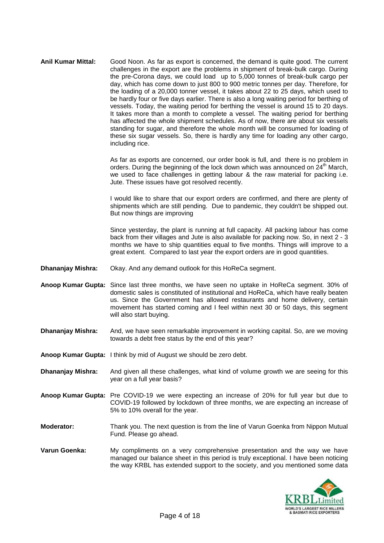**Anil Kumar Mittal:** Good Noon. As far as export is concerned, the demand is quite good. The current challenges in the export are the problems in shipment of break-bulk cargo. During the pre-Corona days, we could load up to 5,000 tonnes of break-bulk cargo per day, which has come down to just 800 to 900 metric tonnes per day. Therefore, for the loading of a 20,000 tonner vessel, it takes about 22 to 25 days, which used to be hardly four or five days earlier. There is also a long waiting period for berthing of vessels. Today, the waiting period for berthing the vessel is around 15 to 20 days. It takes more than a month to complete a vessel. The waiting period for berthing has affected the whole shipment schedules. As of now, there are about six vessels standing for sugar, and therefore the whole month will be consumed for loading of these six sugar vessels. So, there is hardly any time for loading any other cargo, including rice.

> As far as exports are concerned, our order book is full, and there is no problem in orders. During the beginning of the lock down which was announced on  $24<sup>th</sup>$  March, we used to face challenges in getting labour & the raw material for packing i.e. Jute. These issues have got resolved recently.

> I would like to share that our export orders are confirmed, and there are plenty of shipments which are still pending. Due to pandemic, they couldn't be shipped out. But now things are improving

> Since yesterday, the plant is running at full capacity. All packing labour has come back from their villages and Jute is also available for packing now. So, in next 2 - 3 months we have to ship quantities equal to five months. Things will improve to a great extent. Compared to last year the export orders are in good quantities.

- **Dhananjay Mishra:** Okay. And any demand outlook for this HoReCa segment.
- **Anoop Kumar Gupta:** Since last three months, we have seen no uptake in HoReCa segment. 30% of domestic sales is constituted of institutional and HoReCa, which have really beaten us. Since the Government has allowed restaurants and home delivery, certain movement has started coming and I feel within next 30 or 50 days, this segment will also start buying.
- **Dhananjay Mishra:** And, we have seen remarkable improvement in working capital. So, are we moving towards a debt free status by the end of this year?
- **Anoop Kumar Gupta:** I think by mid of August we should be zero debt.
- **Dhananjay Mishra:** And given all these challenges, what kind of volume growth we are seeing for this year on a full year basis?
- **Anoop Kumar Gupta:** Pre COVID-19 we were expecting an increase of 20% for full year but due to COVID-19 followed by lockdown of three months, we are expecting an increase of 5% to 10% overall for the year.
- **Moderator:** Thank you. The next question is from the line of Varun Goenka from Nippon Mutual Fund. Please go ahead.
- **Varun Goenka:** My compliments on a very comprehensive presentation and the way we have managed our balance sheet in this period is truly exceptional. I have been noticing the way KRBL has extended support to the society, and you mentioned some data

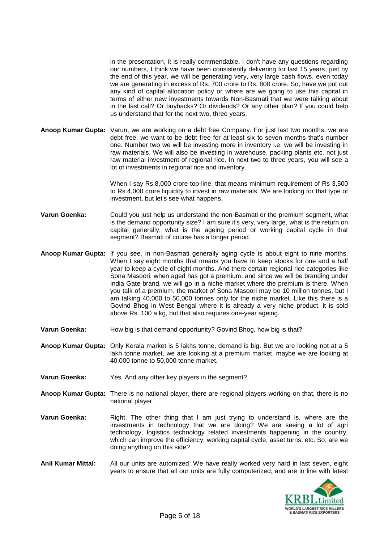in the presentation, it is really commendable. I don't have any questions regarding our numbers, I think we have been consistently delivering for last 15 years, just by the end of this year, we will be generating very, very large cash flows, even today we are generating in excess of Rs. 700 crore to Rs. 800 crore. So, have we put out any kind of capital allocation policy or where are we going to use this capital in terms of either new investments towards Non-Basmati that we were talking about in the last call? Or buybacks? Or dividends? Or any other plan? If you could help us understand that for the next two, three years.

**Anoop Kumar Gupta:** Varun, we are working on a debt free Company. For just last two months, we are debt free, we want to be debt free for at least six to seven months that's number one. Number two we will be investing more in inventory i.e. we will be investing in raw materials. We will also be investing in warehouse, packing plants etc. not just raw material investment of regional rice. In next two to three years, you will see a lot of investments in regional rice and inventory.

> When I say Rs.8,000 crore top-line, that means minimum requirement of Rs 3,500 to Rs.4,000 crore liquidity to invest in raw materials. We are looking for that type of investment, but let's see what happens.

- **Varun Goenka:** Could you just help us understand the non-Basmati or the premium segment, what is the demand opportunity size? I am sure it's very, very large, what is the return on capital generally, what is the ageing period or working capital cycle in that segment? Basmati of course has a longer period.
- **Anoop Kumar Gupta:** If you see, in non-Basmati generally aging cycle is about eight to nine months. When I say eight months that means you have to keep stocks for one and a half year to keep a cycle of eight months. And there certain regional rice categories like Sona Masoori, when aged has got a premium, and since we will be branding under India Gate brand, we will go in a niche market where the premium is there. When you talk of a premium, the market of Sona Masoori may be 10 million tonnes, but I am talking 40,000 to 50,000 tonnes only for the niche market. Like this there is a Govind Bhog in West Bengal where it is already a very niche product, it is sold above Rs. 100 a kg, but that also requires one-year ageing.
- **Varun Goenka:** How big is that demand opportunity? Govind Bhog, how big is that?
- **Anoop Kumar Gupta:** Only Kerala market is 5 lakhs tonne, demand is big. But we are looking not at a 5 lakh tonne market, we are looking at a premium market, maybe we are looking at 40,000 tonne to 50,000 tonne market.
- **Varun Goenka:** Yes. And any other key players in the segment?
- **Anoop Kumar Gupta:** There is no national player, there are regional players working on that, there is no national player.
- **Varun Goenka:** Right. The other thing that I am just trying to understand is, where are the investments in technology that we are doing? We are seeing a lot of agri technology, logistics technology related investments happening in the country, which can improve the efficiency, working capital cycle, asset turns, etc. So, are we doing anything on this side?
- **Anil Kumar Mittal:** All our units are automized. We have really worked very hard in last seven, eight years to ensure that all our units are fully computerized, and are in line with latest

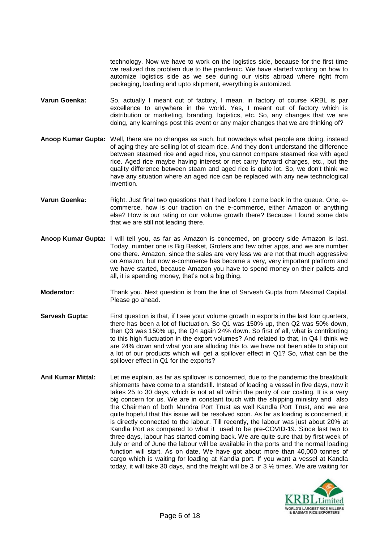technology. Now we have to work on the logistics side, because for the first time we realized this problem due to the pandemic. We have started working on how to automize logistics side as we see during our visits abroad where right from packaging, loading and upto shipment, everything is automized.

- **Varun Goenka:** So, actually I meant out of factory, I mean, in factory of course KRBL is par excellence to anywhere in the world. Yes, I meant out of factory which is distribution or marketing, branding, logistics, etc. So, any changes that we are doing, any learnings post this event or any major changes that we are thinking of?
- **Anoop Kumar Gupta:** Well, there are no changes as such, but nowadays what people are doing, instead of aging they are selling lot of steam rice. And they don't understand the difference between steamed rice and aged rice, you cannot compare steamed rice with aged rice. Aged rice maybe having interest or net carry forward charges, etc., but the quality difference between steam and aged rice is quite lot. So, we don't think we have any situation where an aged rice can be replaced with any new technological invention.
- **Varun Goenka:** Right. Just final two questions that I had before I come back in the queue. One, ecommerce, how is our traction on the e-commerce, either Amazon or anything else? How is our rating or our volume growth there? Because I found some data that we are still not leading there.
- **Anoop Kumar Gupta:** I will tell you, as far as Amazon is concerned, on grocery side Amazon is last. Today, number one is Big Basket, Grofers and few other apps, and we are number one there. Amazon, since the sales are very less we are not that much aggressive on Amazon, but now e-commerce has become a very, very important platform and we have started, because Amazon you have to spend money on their pallets and all, it is spending money, that's not a big thing.
- **Moderator:** Thank you. Next question is from the line of Sarvesh Gupta from Maximal Capital. Please go ahead.
- **Sarvesh Gupta:** First question is that, if I see your volume growth in exports in the last four quarters, there has been a lot of fluctuation. So Q1 was 150% up, then Q2 was 50% down, then Q3 was 150% up, the Q4 again 24% down. So first of all, what is contributing to this high fluctuation in the export volumes? And related to that, in Q4 I think we are 24% down and what you are alluding this to, we have not been able to ship out a lot of our products which will get a spillover effect in Q1? So, what can be the spillover effect in Q1 for the exports?
- **Anil Kumar Mittal:** Let me explain, as far as spillover is concerned, due to the pandemic the breakbulk shipments have come to a standstill. Instead of loading a vessel in five days, now it takes 25 to 30 days, which is not at all within the parity of our costing. It is a very big concern for us. We are in constant touch with the shipping ministry and also the Chairman of both Mundra Port Trust as well Kandla Port Trust, and we are quite hopeful that this issue will be resolved soon. As far as loading is concerned, it is directly connected to the labour. Till recently, the labour was just about 20% at Kandla Port as compared to what it used to be pre-COVID-19. Since last two to three days, labour has started coming back. We are quite sure that by first week of July or end of June the labour will be available in the ports and the normal loading function will start. As on date, We have got about more than 40,000 tonnes of cargo which is waiting for loading at Kandla port. If you want a vessel at Kandla today, it will take 30 days, and the freight will be 3 or 3 ½ times. We are waiting for

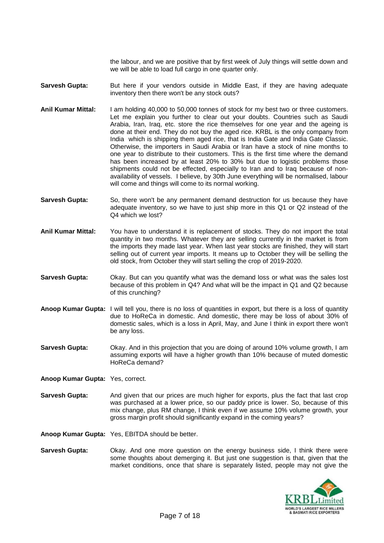the labour, and we are positive that by first week of July things will settle down and we will be able to load full cargo in one quarter only.

Sarvesh Gupta: But here if your vendors outside in Middle East, if they are having adequate inventory then there won't be any stock outs?

- **Anil Kumar Mittal:** I am holding 40,000 to 50,000 tonnes of stock for my best two or three customers. Let me explain you further to clear out your doubts. Countries such as Saudi Arabia, Iran, Iraq, etc. store the rice themselves for one year and the ageing is done at their end. They do not buy the aged rice. KRBL is the only company from India which is shipping them aged rice, that is India Gate and India Gate Classic. Otherwise, the importers in Saudi Arabia or Iran have a stock of nine months to one year to distribute to their customers. This is the first time where the demand has been increased by at least 20% to 30% but due to logistic problems those shipments could not be effected, especially to Iran and to Iraq because of nonavailability of vessels. I believe, by 30th June everything will be normalised, labour will come and things will come to its normal working.
- **Sarvesh Gupta:** So, there won't be any permanent demand destruction for us because they have adequate inventory, so we have to just ship more in this Q1 or Q2 instead of the Q4 which we lost?
- **Anil Kumar Mittal:** You have to understand it is replacement of stocks. They do not import the total quantity in two months. Whatever they are selling currently in the market is from the imports they made last year. When last year stocks are finished, they will start selling out of current year imports. It means up to October they will be selling the old stock, from October they will start selling the crop of 2019-2020.
- **Sarvesh Gupta:** Okay. But can you quantify what was the demand loss or what was the sales lost because of this problem in Q4? And what will be the impact in Q1 and Q2 because of this crunching?
- **Anoop Kumar Gupta:** I will tell you, there is no loss of quantities in export, but there is a loss of quantity due to HoReCa in domestic. And domestic, there may be loss of about 30% of domestic sales, which is a loss in April, May, and June I think in export there won't be any loss.
- **Sarvesh Gupta:** Okay. And in this projection that you are doing of around 10% volume growth, I am assuming exports will have a higher growth than 10% because of muted domestic HoReCa demand?

**Anoop Kumar Gupta:** Yes, correct.

**Sarvesh Gupta:** And given that our prices are much higher for exports, plus the fact that last crop was purchased at a lower price, so our paddy price is lower. So, because of this mix change, plus RM change, I think even if we assume 10% volume growth, your gross margin profit should significantly expand in the coming years?

**Anoop Kumar Gupta:** Yes, EBITDA should be better.

**Sarvesh Gupta:** Okay. And one more question on the energy business side, I think there were some thoughts about demerging it. But just one suggestion is that, given that the market conditions, once that share is separately listed, people may not give the

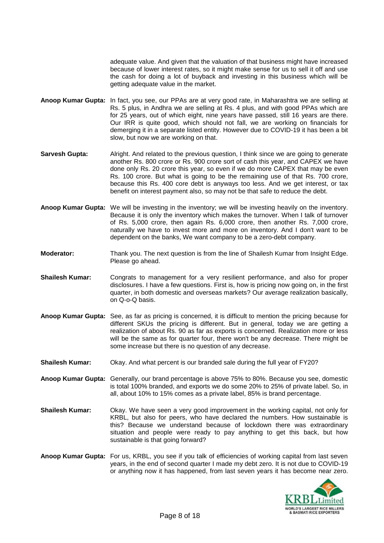adequate value. And given that the valuation of that business might have increased because of lower interest rates, so it might make sense for us to sell it off and use the cash for doing a lot of buyback and investing in this business which will be getting adequate value in the market.

- **Anoop Kumar Gupta:** In fact, you see, our PPAs are at very good rate, in Maharashtra we are selling at Rs. 5 plus, in Andhra we are selling at Rs. 4 plus, and with good PPAs which are for 25 years, out of which eight, nine years have passed, still 16 years are there. Our IRR is quite good, which should not fall, we are working on financials for demerging it in a separate listed entity. However due to COVID-19 it has been a bit slow, but now we are working on that.
- **Sarvesh Gupta:** Alright. And related to the previous question, I think since we are going to generate another Rs. 800 crore or Rs. 900 crore sort of cash this year, and CAPEX we have done only Rs. 20 crore this year, so even if we do more CAPEX that may be even Rs. 100 crore. But what is going to be the remaining use of that Rs. 700 crore, because this Rs. 400 core debt is anyways too less. And we get interest, or tax benefit on interest payment also, so may not be that safe to reduce the debt.
- **Anoop Kumar Gupta:** We will be investing in the inventory; we will be investing heavily on the inventory. Because it is only the inventory which makes the turnover. When I talk of turnover of Rs. 5,000 crore, then again Rs. 6,000 crore, then another Rs. 7,000 crore, naturally we have to invest more and more on inventory. And I don't want to be dependent on the banks, We want company to be a zero-debt company.
- **Moderator:** Thank you. The next question is from the line of Shailesh Kumar from Insight Edge. Please go ahead.
- **Shailesh Kumar:** Congrats to management for a very resilient performance, and also for proper disclosures. I have a few questions. First is, how is pricing now going on, in the first quarter, in both domestic and overseas markets? Our average realization basically, on Q-o-Q basis.
- **Anoop Kumar Gupta:** See, as far as pricing is concerned, it is difficult to mention the pricing because for different SKUs the pricing is different. But in general, today we are getting a realization of about Rs. 90 as far as exports is concerned. Realization more or less will be the same as for quarter four, there won't be any decrease. There might be some increase but there is no question of any decrease.
- **Shailesh Kumar:** Okay. And what percent is our branded sale during the full year of FY20?
- **Anoop Kumar Gupta:** Generally, our brand percentage is above 75% to 80%. Because you see, domestic is total 100% branded, and exports we do some 20% to 25% of private label. So, in all, about 10% to 15% comes as a private label, 85% is brand percentage.
- **Shailesh Kumar:** Okay. We have seen a very good improvement in the working capital, not only for KRBL, but also for peers, who have declared the numbers. How sustainable is this? Because we understand because of lockdown there was extraordinary situation and people were ready to pay anything to get this back, but how sustainable is that going forward?
- **Anoop Kumar Gupta:** For us, KRBL, you see if you talk of efficiencies of working capital from last seven years, in the end of second quarter I made my debt zero. It is not due to COVID-19 or anything now it has happened, from last seven years it has become near zero.

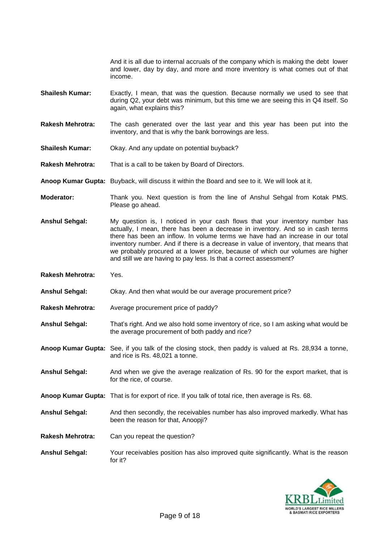And it is all due to internal accruals of the company which is making the debt lower and lower, day by day, and more and more inventory is what comes out of that income.

- **Shailesh Kumar:** Exactly, I mean, that was the question. Because normally we used to see that during Q2, your debt was minimum, but this time we are seeing this in Q4 itself. So again, what explains this?
- **Rakesh Mehrotra:** The cash generated over the last year and this year has been put into the inventory, and that is why the bank borrowings are less.
- **Shailesh Kumar:** Okay. And any update on potential buyback?
- **Rakesh Mehrotra:** That is a call to be taken by Board of Directors.
- **Anoop Kumar Gupta:** Buyback, will discuss it within the Board and see to it. We will look at it.
- **Moderator:** Thank you. Next question is from the line of Anshul Sehgal from Kotak PMS. Please go ahead.
- **Anshul Sehgal:** My question is, I noticed in your cash flows that your inventory number has actually, I mean, there has been a decrease in inventory. And so in cash terms there has been an inflow. In volume terms we have had an increase in our total inventory number. And if there is a decrease in value of inventory, that means that we probably procured at a lower price, because of which our volumes are higher and still we are having to pay less. Is that a correct assessment?
- **Rakesh Mehrotra:** Yes.
- **Anshul Sehgal:** Okay. And then what would be our average procurement price?
- **Rakesh Mehrotra:** Average procurement price of paddy?
- **Anshul Sehgal:** That's right. And we also hold some inventory of rice, so I am asking what would be the average procurement of both paddy and rice?
- **Anoop Kumar Gupta:** See, if you talk of the closing stock, then paddy is valued at Rs. 28,934 a tonne, and rice is Rs. 48,021 a tonne.
- **Anshul Sehgal:** And when we give the average realization of Rs. 90 for the export market, that is for the rice, of course.
- **Anoop Kumar Gupta:** That is for export of rice. If you talk of total rice, then average is Rs. 68.
- **Anshul Sehgal:** And then secondly, the receivables number has also improved markedly. What has been the reason for that, Anoopji?
- **Rakesh Mehrotra:** Can you repeat the question?
- **Anshul Sehgal:** Your receivables position has also improved quite significantly. What is the reason for it?

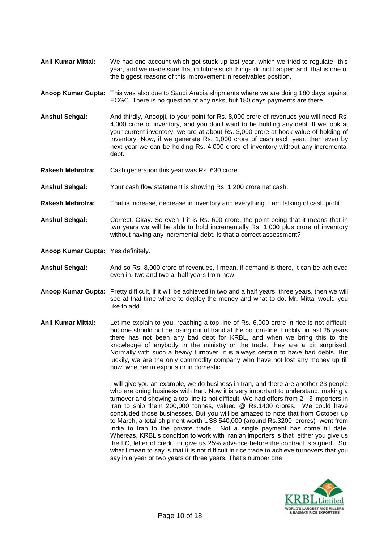- **Anil Kumar Mittal:** We had one account which got stuck up last year, which we tried to regulate this year, and we made sure that in future such things do not happen and that is one of the biggest reasons of this improvement in receivables position.
- **Anoop Kumar Gupta:** This was also due to Saudi Arabia shipments where we are doing 180 days against ECGC. There is no question of any risks, but 180 days payments are there.
- **Anshul Sehgal:** And thirdly, Anoopji, to your point for Rs. 8,000 crore of revenues you will need Rs. 4,000 crore of inventory, and you don't want to be holding any debt. If we look at your current inventory, we are at about Rs. 3,000 crore at book value of holding of inventory. Now, if we generate Rs. 1,000 crore of cash each year, then even by next year we can be holding Rs. 4,000 crore of inventory without any incremental debt.
- **Rakesh Mehrotra:** Cash generation this year was Rs. 630 crore.
- **Anshul Sehgal:** Your cash flow statement is showing Rs. 1,200 crore net cash.
- **Rakesh Mehrotra:** That is increase, decrease in inventory and everything. I am talking of cash profit.
- **Anshul Sehgal:** Correct. Okay. So even if it is Rs. 600 crore, the point being that it means that in two years we will be able to hold incrementally Rs. 1,000 plus crore of inventory without having any incremental debt. Is that a correct assessment?
- **Anoop Kumar Gupta:** Yes definitely.
- **Anshul Sehgal:** And so Rs. 8,000 crore of revenues, I mean, if demand is there, it can be achieved even in, two and two a half years from now.
- **Anoop Kumar Gupta:** Pretty difficult, if it will be achieved in two and a half years, three years, then we will see at that time where to deploy the money and what to do. Mr. Mittal would you like to add.
- **Anil Kumar Mittal:** Let me explain to you, reaching a top-line of Rs. 6,000 crore in rice is not difficult, but one should not be losing out of hand at the bottom-line. Luckily, in last 25 years there has not been any bad debt for KRBL, and when we bring this to the knowledge of anybody in the ministry or the trade, they are a bit surprised. Normally with such a heavy turnover, it is always certain to have bad debts. But luckily, we are the only commodity company who have not lost any money up till now, whether in exports or in domestic.

I will give you an example, we do business in Iran, and there are another 23 people who are doing business with Iran. Now it is very important to understand, making a turnover and showing a top-line is not difficult. We had offers from 2 - 3 importers in Iran to ship them 200,000 tonnes, valued @ Rs.1400 crores. We could have concluded those businesses. But you will be amazed to note that from October up to March, a total shipment worth US\$ 540,000 (around Rs.3200 crores) went from India to Iran to the private trade. Not a single payment has come till date. Whereas, KRBL's condition to work with Iranian importers is that either you give us the LC, letter of credit, or give us 25% advance before the contract is signed. So, what I mean to say is that it is not difficult in rice trade to achieve turnovers that you say in a year or two years or three years. That's number one.

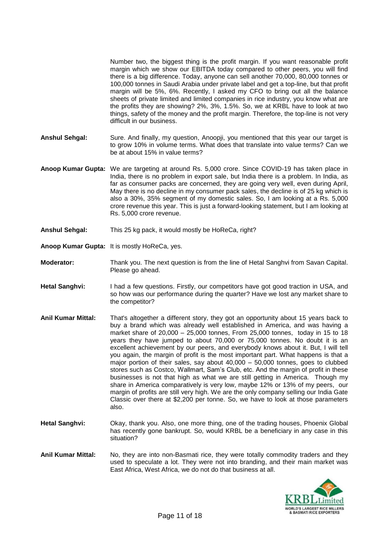Number two, the biggest thing is the profit margin. If you want reasonable profit margin which we show our EBITDA today compared to other peers, you will find there is a big difference. Today, anyone can sell another 70,000, 80,000 tonnes or 100,000 tonnes in Saudi Arabia under private label and get a top-line, but that profit margin will be 5%, 6%. Recently, I asked my CFO to bring out all the balance sheets of private limited and limited companies in rice industry, you know what are the profits they are showing? 2%, 3%, 1.5%. So, we at KRBL have to look at two things, safety of the money and the profit margin. Therefore, the top-line is not very difficult in our business.

- **Anshul Sehgal:** Sure. And finally, my question, Anoopji, you mentioned that this year our target is to grow 10% in volume terms. What does that translate into value terms? Can we be at about 15% in value terms?
- **Anoop Kumar Gupta:** We are targeting at around Rs. 5,000 crore. Since COVID-19 has taken place in India, there is no problem in export sale, but India there is a problem. In India, as far as consumer packs are concerned, they are going very well, even during April, May there is no decline in my consumer pack sales, the decline is of 25 kg which is also a 30%, 35% segment of my domestic sales. So, I am looking at a Rs. 5,000 crore revenue this year. This is just a forward-looking statement, but I am looking at Rs. 5,000 crore revenue.
- **Anshul Sehgal:** This 25 kg pack, it would mostly be HoReCa, right?
- **Anoop Kumar Gupta:** It is mostly HoReCa, yes.
- **Moderator:** Thank you. The next question is from the line of Hetal Sanghvi from Savan Capital. Please go ahead.
- **Hetal Sanghvi:** I had a few questions. Firstly, our competitors have got good traction in USA, and so how was our performance during the quarter? Have we lost any market share to the competitor?

**Anil Kumar Mittal:** That's altogether a different story, they got an opportunity about 15 years back to buy a brand which was already well established in America, and was having a market share of 20,000 – 25,000 tonnes, From 25,000 tonnes, today in 15 to 18 years they have jumped to about 70,000 or 75,000 tonnes. No doubt it is an excellent achievement by our peers, and everybody knows about it. But, I will tell you again, the margin of profit is the most important part. What happens is that a major portion of their sales, say about 40,000 – 50,000 tonnes, goes to clubbed stores such as Costco, Wallmart, Sam's Club, etc. And the margin of profit in these businesses is not that high as what we are still getting in America. Though my share in America comparatively is very low, maybe 12% or 13% of my peers, our margin of profits are still very high. We are the only company selling our India Gate Classic over there at \$2,200 per tonne. So, we have to look at those parameters also.

- **Hetal Sanghvi:** Okay, thank you. Also, one more thing, one of the trading houses, Phoenix Global has recently gone bankrupt. So, would KRBL be a beneficiary in any case in this situation?
- **Anil Kumar Mittal:** No, they are into non-Basmati rice, they were totally commodity traders and they used to speculate a lot. They were not into branding, and their main market was East Africa, West Africa, we do not do that business at all.

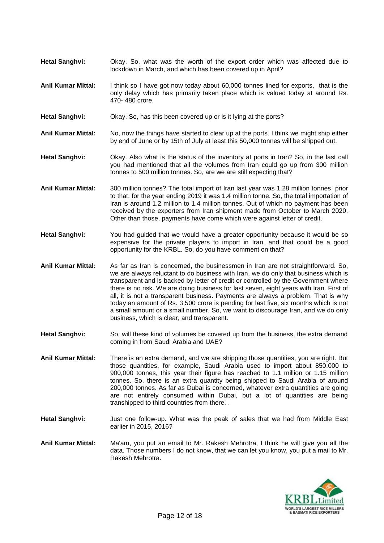- **Hetal Sanghvi:** Okay. So, what was the worth of the export order which was affected due to lockdown in March, and which has been covered up in April?
- **Anil Kumar Mittal:** I think so I have got now today about 60,000 tonnes lined for exports, that is the only delay which has primarily taken place which is valued today at around Rs. 470- 480 crore.
- **Hetal Sanghvi:** Okay. So, has this been covered up or is it lying at the ports?
- **Anil Kumar Mittal:** No, now the things have started to clear up at the ports. I think we might ship either by end of June or by 15th of July at least this 50,000 tonnes will be shipped out.
- **Hetal Sanghvi:** Okay. Also what is the status of the inventory at ports in Iran? So, in the last call you had mentioned that all the volumes from Iran could go up from 300 million tonnes to 500 million tonnes. So, are we are still expecting that?
- **Anil Kumar Mittal:** 300 million tonnes? The total import of Iran last year was 1.28 million tonnes, prior to that, for the year ending 2019 it was 1.4 million tonne. So, the total importation of Iran is around 1.2 million to 1.4 million tonnes. Out of which no payment has been received by the exporters from Iran shipment made from October to March 2020. Other than those, payments have come which were against letter of credit.
- **Hetal Sanghvi:** You had guided that we would have a greater opportunity because it would be so expensive for the private players to import in Iran, and that could be a good opportunity for the KRBL. So, do you have comment on that?
- **Anil Kumar Mittal:** As far as Iran is concerned, the businessmen in Iran are not straightforward. So, we are always reluctant to do business with Iran, we do only that business which is transparent and is backed by letter of credit or controlled by the Government where there is no risk. We are doing business for last seven, eight years with Iran. First of all, it is not a transparent business. Payments are always a problem. That is why today an amount of Rs. 3,500 crore is pending for last five, six months which is not a small amount or a small number. So, we want to discourage Iran, and we do only business, which is clear, and transparent.
- Hetal Sanghvi: So, will these kind of volumes be covered up from the business, the extra demand coming in from Saudi Arabia and UAE?
- **Anil Kumar Mittal:** There is an extra demand, and we are shipping those quantities, you are right. But those quantities, for example, Saudi Arabia used to import about 850,000 to 900,000 tonnes, this year their figure has reached to 1.1 million or 1.15 million tonnes. So, there is an extra quantity being shipped to Saudi Arabia of around 200,000 tonnes. As far as Dubai is concerned, whatever extra quantities are going are not entirely consumed within Dubai, but a lot of quantities are being transhipped to third countries from there. .
- **Hetal Sanghvi:** Just one follow-up. What was the peak of sales that we had from Middle East earlier in 2015, 2016?
- **Anil Kumar Mittal:** Ma'am, you put an email to Mr. Rakesh Mehrotra, I think he will give you all the data. Those numbers I do not know, that we can let you know, you put a mail to Mr. Rakesh Mehrotra.

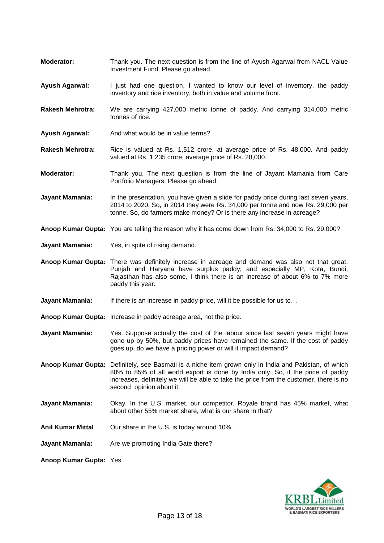- **Moderator:** Thank you. The next question is from the line of Ayush Agarwal from NACL Value Investment Fund. Please go ahead.
- **Ayush Agarwal:** I just had one question, I wanted to know our level of inventory, the paddy inventory and rice inventory, both in value and volume front.
- **Rakesh Mehrotra:** We are carrying 427,000 metric tonne of paddy. And carrying 314,000 metric tonnes of rice.
- **Ayush Agarwal:** And what would be in value terms?
- **Rakesh Mehrotra:** Rice is valued at Rs. 1,512 crore, at average price of Rs. 48,000. And paddy valued at Rs. 1,235 crore, average price of Rs. 28,000.
- **Moderator:** Thank you. The next question is from the line of Jayant Mamania from Care Portfolio Managers. Please go ahead.

Jayant Mamania: In the presentation, you have given a slide for paddy price during last seven years, 2014 to 2020. So, in 2014 they were Rs. 34,000 per tonne and now Rs. 29,000 per tonne. So, do farmers make money? Or is there any increase in acreage?

- **Anoop Kumar Gupta:** You are telling the reason why it has come down from Rs. 34,000 to Rs. 29,000?
- **Jayant Mamania:** Yes, in spite of rising demand.
- **Anoop Kumar Gupta:** There was definitely increase in acreage and demand was also not that great. Punjab and Haryana have surplus paddy, and especially MP, Kota, Bundi, Rajasthan has also some, I think there is an increase of about 6% to 7% more paddy this year.
- **Jayant Mamania:** If there is an increase in paddy price, will it be possible for us to…
- **Anoop Kumar Gupta:** Increase in paddy acreage area, not the price.
- **Jayant Mamania:** Yes. Suppose actually the cost of the labour since last seven years might have gone up by 50%, but paddy prices have remained the same. If the cost of paddy goes up, do we have a pricing power or will it impact demand?

**Anoop Kumar Gupta:** Definitely, see Basmati is a niche item grown only in India and Pakistan, of which 80% to 85% of all world export is done by India only. So, if the price of paddy increases, definitely we will be able to take the price from the customer, there is no second opinion about it.

- **Jayant Mamania:** Okay. In the U.S. market, our competitor, Royale brand has 45% market, what about other 55% market share, what is our share in that?
- **Anil Kumar Mittal** Our share in the U.S. is today around 10%.
- **Jayant Mamania:** Are we promoting India Gate there?

**Anoop Kumar Gupta:** Yes.

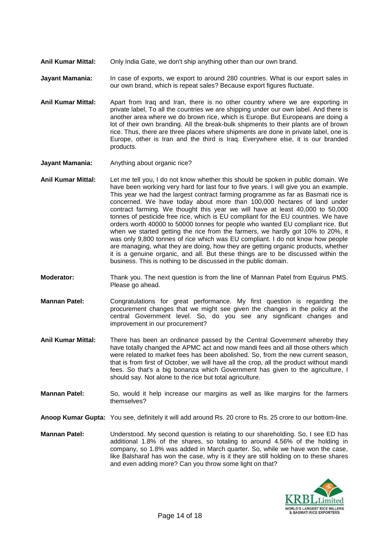**Anil Kumar Mittal:** Only India Gate, we don't ship anything other than our own brand.

**Jayant Mamania:** In case of exports, we export to around 280 countries. What is our export sales in our own brand, which is repeat sales? Because export figures fluctuate.

- **Anil Kumar Mittal:** Apart from Iraq and Iran, there is no other country where we are exporting in private label, To all the countries we are shipping under our own label. And there is another area where we do brown rice, which is Europe. But Europeans are doing a lot of their own branding. All the break-bulk shipments to their plants are of brown rice. Thus, there are three places where shipments are done in private label, one is Europe, other is Iran and the third is Iraq. Everywhere else, it is our branded products.
- **Jayant Mamania:** Anything about organic rice?
- **Anil Kumar Mittal:** Let me tell you, I do not know whether this should be spoken in public domain. We have been working very hard for last four to five years. I will give you an example. This year we had the largest contract farming programme as far as Basmati rice is concerned. We have today about more than 100,000 hectares of land under contract farming. We thought this year we will have at least 40,000 to 50,000 tonnes of pesticide free rice, which is EU compliant for the EU countries. We have orders worth 40000 to 50000 tonnes for people who wanted EU compliant rice. But when we started getting the rice from the farmers, we hardly got 10% to 20%, it was only 9,800 tonnes of rice which was EU compliant. I do not know how people are managing, what they are doing, how they are getting organic products, whether it is a genuine organic, and all. But these things are to be discussed within the business. This is nothing to be discussed in the public domain.
- **Moderator:** Thank you. The next question is from the line of Mannan Patel from Equirus PMS. Please go ahead.
- **Mannan Patel:** Congratulations for great performance. My first question is regarding the procurement changes that we might see given the changes in the policy at the central Government level. So, do you see any significant changes and improvement in our procurement?
- **Anil Kumar Mittal:** There has been an ordinance passed by the Central Government whereby they have totally changed the APMC act and now mandi fees and all those others which were related to market fees has been abolished. So, from the new current season, that is from first of October, we will have all the crop, all the product without mandi fees. So that's a big bonanza which Government has given to the agriculture, I should say. Not alone to the rice but total agriculture.
- **Mannan Patel:** So, would it help increase our margins as well as like margins for the farmers themselves?
- **Anoop Kumar Gupta:** You see, definitely it will add around Rs. 20 crore to Rs. 25 crore to our bottom-line.
- **Mannan Patel:** Understood. My second question is relating to our shareholding. So, I see ED has additional 1.8% of the shares, so totaling to around 4.56% of the holding in company, so 1.8% was added in March quarter. So, while we have won the case, like Balsharaf has won the case, why is it they are still holding on to these shares and even adding more? Can you throw some light on that?

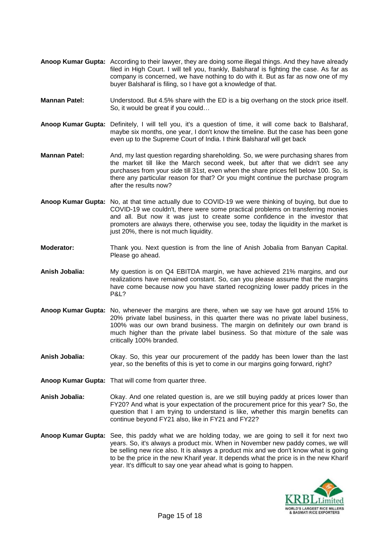- **Anoop Kumar Gupta:** According to their lawyer, they are doing some illegal things. And they have already filed in High Court. I will tell you, frankly, Balsharaf is fighting the case. As far as company is concerned, we have nothing to do with it. But as far as now one of my buyer Balsharaf is filing, so I have got a knowledge of that.
- **Mannan Patel:** Understood. But 4.5% share with the ED is a big overhang on the stock price itself. So, it would be great if you could…
- **Anoop Kumar Gupta:** Definitely, I will tell you, it's a question of time, it will come back to Balsharaf, maybe six months, one year, I don't know the timeline. But the case has been gone even up to the Supreme Court of India. I think Balsharaf will get back
- **Mannan Patel:** And, my last question regarding shareholding. So, we were purchasing shares from the market till like the March second week, but after that we didn't see any purchases from your side till 31st, even when the share prices fell below 100. So, is there any particular reason for that? Or you might continue the purchase program after the results now?
- **Anoop Kumar Gupta:** No, at that time actually due to COVID-19 we were thinking of buying, but due to COVID-19 we couldn't, there were some practical problems on transferring monies and all. But now it was just to create some confidence in the investor that promoters are always there, otherwise you see, today the liquidity in the market is just 20%, there is not much liquidity.
- **Moderator:** Thank you. Next question is from the line of Anish Jobalia from Banyan Capital. Please go ahead.
- **Anish Jobalia:** My question is on Q4 EBITDA margin, we have achieved 21% margins, and our realizations have remained constant. So, can you please assume that the margins have come because now you have started recognizing lower paddy prices in the P&L?
- **Anoop Kumar Gupta:** No, whenever the margins are there, when we say we have got around 15% to 20% private label business, in this quarter there was no private label business, 100% was our own brand business. The margin on definitely our own brand is much higher than the private label business. So that mixture of the sale was critically 100% branded.
- **Anish Jobalia:** Okay. So, this year our procurement of the paddy has been lower than the last year, so the benefits of this is yet to come in our margins going forward, right?
- **Anoop Kumar Gupta:** That will come from quarter three.
- **Anish Jobalia:** Okay. And one related question is, are we still buying paddy at prices lower than FY20? And what is your expectation of the procurement price for this year? So, the question that I am trying to understand is like, whether this margin benefits can continue beyond FY21 also, like in FY21 and FY22?
- **Anoop Kumar Gupta:** See, this paddy what we are holding today, we are going to sell it for next two years. So, it's always a product mix. When in November new paddy comes, we will be selling new rice also. It is always a product mix and we don't know what is going to be the price in the new Kharif year. It depends what the price is in the new Kharif year. It's difficult to say one year ahead what is going to happen.

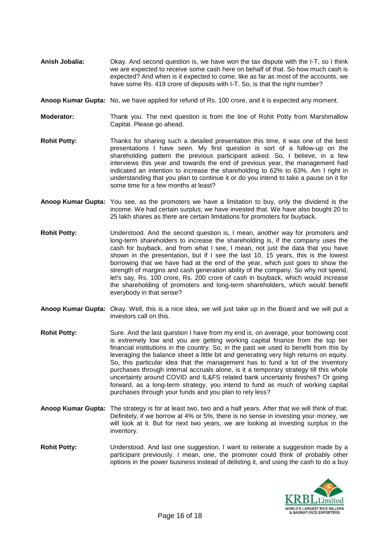- **Anish Jobalia:** Okay. And second question is, we have won the tax dispute with the I-T, so I think we are expected to receive some cash here on behalf of that. So how much cash is expected? And when is it expected to come, like as far as most of the accounts, we have some Rs. 419 crore of deposits with I-T. So, is that the right number?
- **Anoop Kumar Gupta:** No, we have applied for refund of Rs. 100 crore, and it is expected any moment.
- **Moderator:** Thank you. The next question is from the line of Rohit Potty from Marshmallow Capital. Please go ahead.
- **Rohit Potty:** Thanks for sharing such a detailed presentation this time, it was one of the best presentations I have seen. My first question is sort of a follow-up on the shareholding pattern the previous participant asked. So, I believe, in a few interviews this year and towards the end of previous year, the management had indicated an intention to increase the shareholding to 62% to 63%. Am I right in understanding that you plan to continue it or do you intend to take a pause on it for some time for a few months at least?
- **Anoop Kumar Gupta:** You see, as the promoters we have a limitation to buy, only the dividend is the income. We had certain surplus; we have invested that. We have also bought 20 to 25 lakh shares as there are certain limitations for promoters for buyback.
- **Rohit Potty:** Understood. And the second question is, I mean, another way for promoters and long-term shareholders to increase the shareholding is, if the company uses the cash for buyback, and from what I see, I mean, not just the data that you have shown in the presentation, but if I see the last 10, 15 years, this is the lowest borrowing that we have had at the end of the year, which just goes to show the strength of margins and cash generation ability of the company. So why not spend, let's say, Rs. 100 crore, Rs. 200 crore of cash in buyback, which would increase the shareholding of promoters and long-term shareholders, which would benefit everybody in that sense?
- **Anoop Kumar Gupta:** Okay. Well, this is a nice idea, we will just take up in the Board and we will put a investors call on this.
- **Rohit Potty:** Sure. And the last question I have from my end is, on average, your borrowing cost is extremely low and you are getting working capital finance from the top tier financial institutions in the country. So, in the past we used to benefit from this by leveraging the balance sheet a little bit and generating very high returns on equity. So, this particular idea that the management has to fund a lot of the inventory purchases through internal accruals alone, is it a temporary strategy till this whole uncertainty around COVID and IL&FS related bank uncertainty finishes? Or going forward, as a long-term strategy, you intend to fund as much of working capital purchases through your funds and you plan to rely less?
- **Anoop Kumar Gupta:** The strategy is for at least two, two and a half years. After that we will think of that. Definitely, if we borrow at 4% or 5%, there is no sense in investing your money, we will look at it. But for next two years, we are looking at investing surplus in the inventory.
- **Rohit Potty:** Understood. And last one suggestion, I want to reiterate a suggestion made by a participant previously. I mean, one, the promoter could think of probably other options in the power business instead of delisting it, and using the cash to do a buy

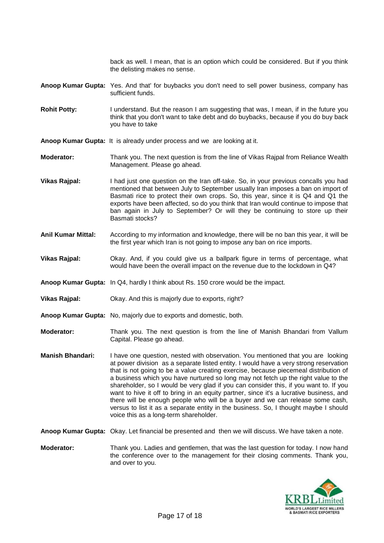back as well. I mean, that is an option which could be considered. But if you think the delisting makes no sense.

- **Anoop Kumar Gupta:** Yes. And that' for buybacks you don't need to sell power business, company has sufficient funds.
- Rohit Potty: I understand. But the reason I am suggesting that was, I mean, if in the future you think that you don't want to take debt and do buybacks, because if you do buy back you have to take

**Anoop Kumar Gupta:** It is already under process and we are looking at it.

- **Moderator:** Thank you. The next question is from the line of Vikas Rajpal from Reliance Wealth Management. Please go ahead.
- **Vikas Rajpal:** I had just one question on the Iran off-take. So, in your previous concalls you had mentioned that between July to September usually Iran imposes a ban on import of Basmati rice to protect their own crops. So, this year, since it is Q4 and Q1 the exports have been affected, so do you think that Iran would continue to impose that ban again in July to September? Or will they be continuing to store up their Basmati stocks?
- **Anil Kumar Mittal:** According to my information and knowledge, there will be no ban this year, it will be the first year which Iran is not going to impose any ban on rice imports.
- **Vikas Rajpal:** Okay. And, if you could give us a ballpark figure in terms of percentage, what would have been the overall impact on the revenue due to the lockdown in Q4?
- **Anoop Kumar Gupta:** In Q4, hardly I think about Rs. 150 crore would be the impact.
- **Vikas Rajpal:** Okay. And this is majorly due to exports, right?
- **Anoop Kumar Gupta:** No, majorly due to exports and domestic, both.
- **Moderator:** Thank you. The next question is from the line of Manish Bhandari from Vallum Capital. Please go ahead.
- **Manish Bhandari:** I have one question, nested with observation. You mentioned that you are looking at power division as a separate listed entity. I would have a very strong reservation that is not going to be a value creating exercise, because piecemeal distribution of a business which you have nurtured so long may not fetch up the right value to the shareholder, so I would be very glad if you can consider this, if you want to. If you want to hive it off to bring in an equity partner, since it's a lucrative business, and there will be enough people who will be a buyer and we can release some cash, versus to list it as a separate entity in the business. So, I thought maybe I should voice this as a long-term shareholder.

**Anoop Kumar Gupta:** Okay. Let financial be presented and then we will discuss. We have taken a note.

**Moderator:** Thank you. Ladies and gentlemen, that was the last question for today. I now hand the conference over to the management for their closing comments. Thank you, and over to you.